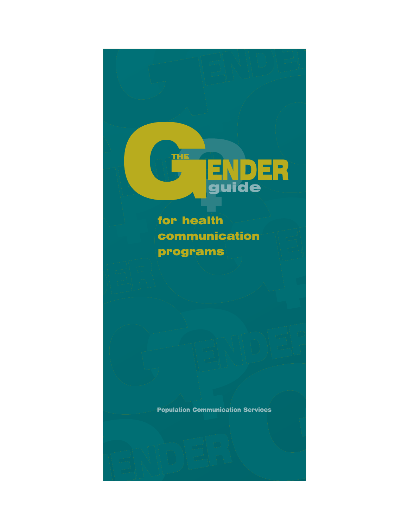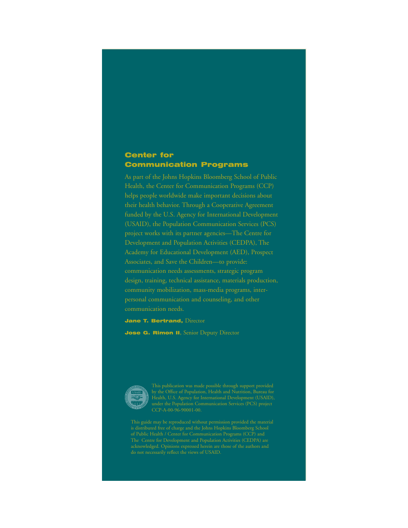## Center for Communication Programs

As part of the Johns Hopkins Bloomberg School of Public Health, the Center for Communication Programs (CCP) their health behavior. Through a Cooperative Agreement funded by the U.S. Agency for International Development (USAID), the Population Communication Services (PCS) project works with its partner agencies—The Centre for Development and Population Activities (CEDPA), The Academy for Educational Development (AED), Prospect communication needs assessments, strategic program design, training, technical assistance, materials production, community mobilization, mass-media programs, interpersonal communication and counseling, and other communication needs.

**Jane T. Bertrand, Director** 

Jose G. Rimon II, Senior Deputy Director



do not necessarily reflect the views of USAID.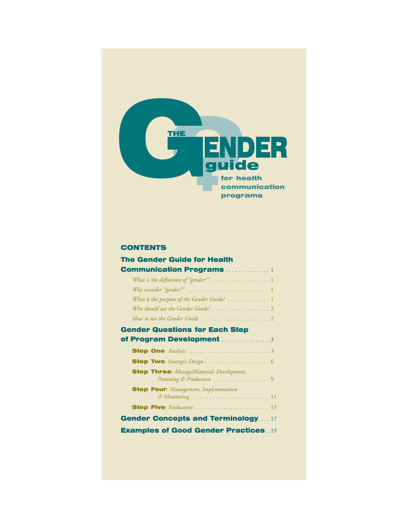

## **CONTENTS**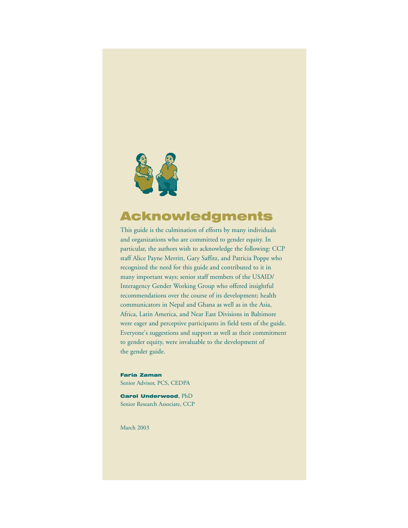

## Acknowledgments

This guide is the culmination of efforts by many individuals and organizations who are committed to gender equity. In particular, the authors wish to acknowledge the following: CCP staff Alice Payne Merritt, Gary Saffitz, and Patricia Poppe who recognized the need for this guide and contributed to it in many important ways; senior staff members of the USAID/ Interagency Gender Working Group who offered insightful recommendations over the course of its development; health communicators in Nepal and Ghana as well as in the Asia, Africa, Latin America, and Near East Divisions in Baltimore were eager and perceptive participants in field tests of the guide. Everyone's suggestions and support as well as their commitment to gender equity, were invaluable to the development of the gender guide.

Faria Zaman Senior Advisor, PCS, CEDPA

Carol Underwood, PhD Senior Research Associate, CCP

March 2003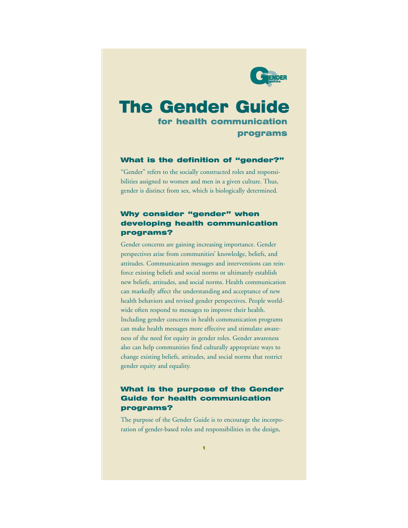

## The Gender Guide

for health communication programs

#### What is the definition of "gender?"

"Gender" refers to the socially constructed roles and responsibilities assigned to women and men in a given culture. Thus, gender is distinct from sex, which is biologically determined*.*

## Why consider "gender" when developing health communication programs?

Gender concerns are gaining increasing importance. Gender perspectives arise from communities' knowledge, beliefs, and attitudes. Communication messages and interventions can reinforce existing beliefs and social norms or ultimately establish new beliefs, attitudes, and social norms. Health communication can markedly affect the understanding and acceptance of new health behaviors and revised gender perspectives. People worldwide often respond to messages to improve their health. Including gender concerns in health communication programs can make health messages more effective and stimulate awareness of the need for equity in gender roles. Gender awareness also can help communities find culturally appropriate ways to change existing beliefs, attitudes, and social norms that restrict gender equity and equality.

## What is the purpose of the Gender Guide for health communication programs?

The purpose of the Gender Guide is to encourage the incorporation of gender-based roles and responsibilities in the design,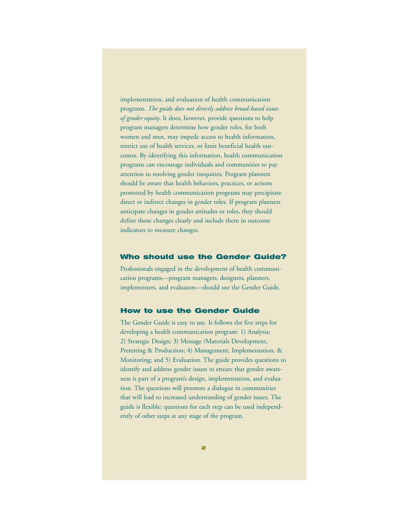implementation, and evaluation of health communication programs. *The guide does not directly address broad-based issues of gender equity*. It does, however, provide questions to help program managers determine how gender roles, for both women and men, may impede access to health information, restrict use of health services, or limit beneficial health outcomes. By identifying this information, health communication programs can encourage individuals and communities to pay attention to resolving gender inequities. Program planners should be aware that health behaviors, practices, or actions promoted by health communication programs may precipitate direct or indirect changes in gender roles. If program planners anticipate changes in gender attitudes or roles, they should define those changes clearly and include them in outcome indicators to measure changes.

#### Who should use the Gender Guide?

Professionals engaged in the development of health communication programs—program managers, designers, planners, implementers, and evaluators—should use the Gender Guide.

#### How to use the Gender Guide

The Gender Guide is easy to use. It follows the five steps for developing a health communication program: 1) Analysis; 2) Strategic Design; 3) Message /Materials Development, Pretesting & Production; 4) Management, Implementation, & Monitoring; and 5) Evaluation. The guide provides questions to identify and address gender issues to ensure that gender awareness is part of a program's design, implementation, and evaluation. The questions will promote a dialogue in communities that will lead to increased understanding of gender issues. The guide is flexible; questions for each step can be used independently of other steps at any stage of the program.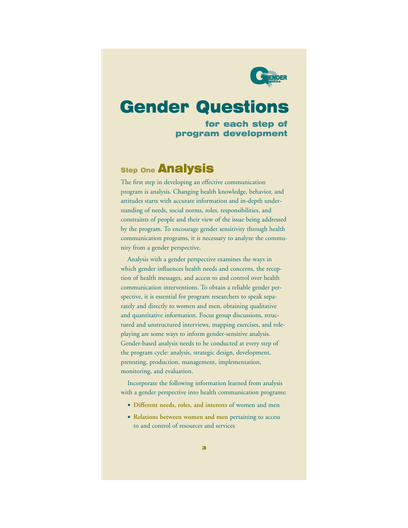

## Gender Questions

for each step of program development

## **Step One Analysis**

The first step in developing an effective communication program is analysis. Changing health knowledge, behavior, and attitudes starts with accurate information and in-depth understanding of needs, social norms, roles, responsibilities, and constraints of people and their view of the issue being addressed by the program. To encourage gender sensitivity through health communication programs, it is necessary to analyze the community from a gender perspective.

Analysis with a gender perspective examines the ways in which gender influences health needs and concerns, the reception of health messages, and access to and control over health communication interventions. To obtain a reliable gender perspective, it is essential for program researchers to speak separately and directly to women and men, obtaining qualitative and quantitative information. Focus group discussions, structured and unstructured interviews, mapping exercises, and roleplaying are some ways to inform gender-sensitive analysis. Gender-based analysis needs to be conducted at every step of the program cycle: analysis, strategic design, development, pretesting, production, management, implementation, monitoring, and evaluation.

Incorporate the following information learned from analysis with a gender perspective into health communication programs:

- **Different needs, roles, and interests** of women and men
- **Relations between women and men** pertaining to access to and control of resources and services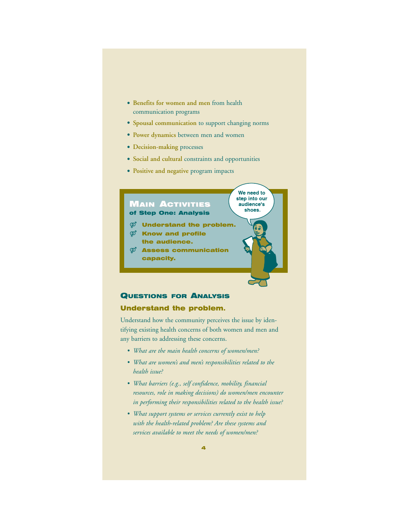- **Benefits for women and men** from health communication programs
- **Spousal communication** to support changing norms
- **Power dynamics** between men and women
- **Decision-making** processes
- **Social and cultural** constraints and opportunities

We need to step into our audience's shoes.

• **Positive and negative** program impacts

#### MAIN ACTIVITIES of Step One: Analysis

- $\boldsymbol{\mathcal{P}}$  Understand the problem.
- $\mathcal{D}$  Know and profile the audience.
- $\mathcal{D}$  Assess communication capacity.

## QUESTIONS FOR ANALYSIS

### Understand the problem.

Understand how the community perceives the issue by identifying existing health concerns of both women and men and any barriers to addressing these concerns.

- *• What are the main health concerns of women/men?*
- *• What are women's and men's responsibilities related to the health issue?*
- *• What barriers (e.g., self confidence, mobility, financial resources, role in making decisions) do women/men encounter in performing their responsibilities related to the health issue?*
- *• What support systems or services currently exist to help with the health-related problem? Are these systems and services available to meet the needs of women/men?*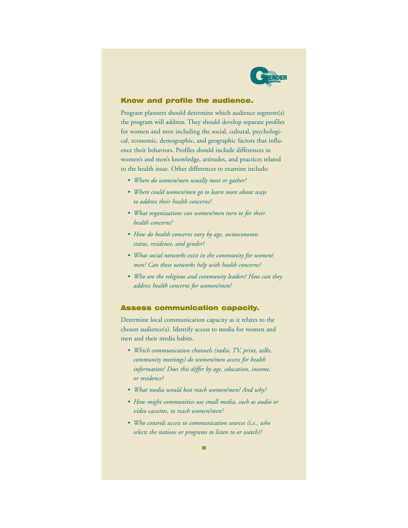

#### Know and profile the audience.

Program planners should determine which audience segment(s) the program will address. They should develop separate profiles for women and men including the social, cultural, psychological, economic, demographic, and geographic factors that influence their behaviors. Profiles should include differences in women's and men's knowledge, attitudes, and practices related to the health issue. Other differences to examine include:

- *Where do women/men usually meet or gather?*
- *Where could women/men go to learn more about ways to address their health concerns?*
- *• What organizations can women/men turn to for their health concerns?*
- *How do health concerns vary by age, socioeconomic status, residence, and gender?*
- *• What social networks exist in the community for women/ men? Can these networks help with health concerns?*
- *Who are the religious and community leaders? How can they address health concerns for women/men?*

#### Assess communication capacity.

Determine local communication capacity as it relates to the chosen audience(s). Identify access to media for women and men and their media habits.

- *• Which communication channels (radio, TV, print, talks, community meetings) do women/men access for health information? Does this differ by age, education, income, or residence?*
- *• What media would best reach women/men? And why?*
- *How might communities use small media, such as audio or video cassettes, to reach women/men?*
- *• Who controls access to communication sources (i.e., who selects the stations or programs to listen to or watch)?*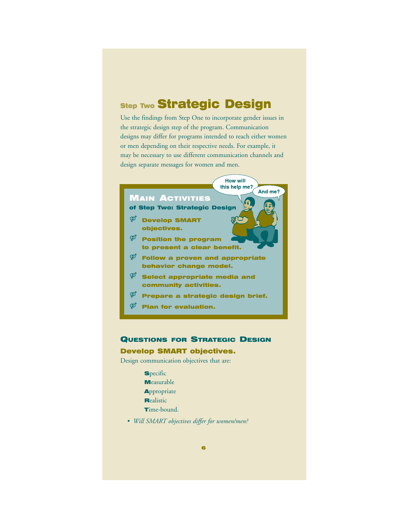## **Step Two Strategic Design**

Use the findings from Step One to incorporate gender issues in the strategic design step of the program. Communication designs may differ for programs intended to reach either women or men depending on their respective needs. For example, it may be necessary to use different communication channels and design separate messages for women and men.

> **How will** this help me?

And me?

#### MAIN ACTIVITIES

- of Step Two: Strategic Design
- $\Phi$  Develop SMART objectives.
- $\overline{\varphi}$  Position the program to present a clear benefit.
- $\overline{\varphi}^{\phi}$  Follow a proven and appropriate behavior change model.
- $\varphi$  Select appropriate media and community activities.
- $\overline{\varphi}$  Prepare a strategic design brief.
- $\overline{\varphi}^{\!\circ}$  Plan for evaluation.

## QUESTIONS FOR STRATEGIC DESIGN

### Develop SMART objectives.

Design communication objectives that are:

- **Specific** Measurable **Appropriate Realistic**
- Time-bound.
- *Will SMART objectives differ for women/men?*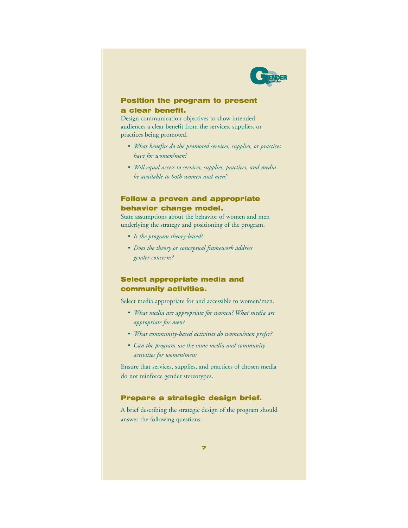

### Position the program to present a clear benefit.

Design communication objectives to show intended audiences a clear benefit from the services, supplies, or practices being promoted.

- *• What benefits do the promoted services, supplies, or practices have for women/men?*
- *Will equal access to services, supplies, practices, and media be available to both women and men?*

## Follow a proven and appropriate behavior change model.

State assumptions about the behavior of women and men underlying the strategy and positioning of the program.

- *Is the program theory-based?*
- *Does the theory or conceptual framework address gender concerns?*

## Select appropriate media and community activities.

Select media appropriate for and accessible to women/men.

- *• What media are appropriate for women? What media are appropriate for men?*
- *• What community-based activities do women/men prefer?*
- *Can the program use the same media and community activities for women/men?*

Ensure that services, supplies, and practices of chosen media do not reinforce gender stereotypes.

#### Prepare a strategic design brief.

A brief describing the strategic design of the program should answer the following questions: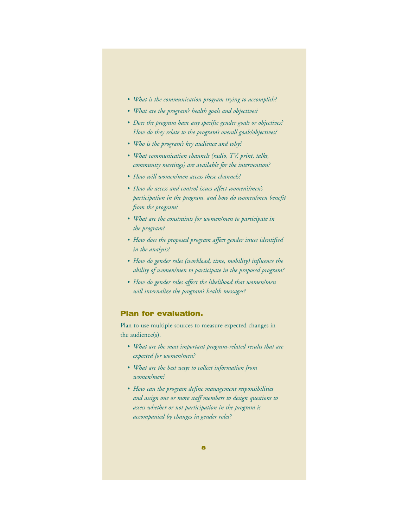- *• What is the communication program trying to accomplish?*
- *• What are the program's health goals and objectives?*
- *Does the program have any specific gender goals or objectives? How do they relate to the program's overall goals/objectives?*
- *• Who is the program's key audience and why?*
- *• What communication channels (radio, TV, print, talks, community meetings) are available for the intervention?*
- *How will women/men access these channels?*
- *How do access and control issues affect women's/men's participation in the program, and how do women/men benefit from the program?*
- *• What are the constraints for women/men to participate in the program?*
- *How does the proposed program affect gender issues identified in the analysis?*
- *How do gender roles (workload, time, mobility) influence the ability of women/men to participate in the proposed program?*
- *How do gender roles affect the likelihood that women/men will internalize the program's health messages?*

#### Plan for evaluation.

Plan to use multiple sources to measure expected changes in the audience(s).

- *• What are the most important program-related results that are expected for women/men?*
- *• What are the best ways to collect information from women/men?*
- *How can the program define management responsibilities and assign one or more staff members to design questions to assess whether or not participation in the program is accompanied by changes in gender roles?*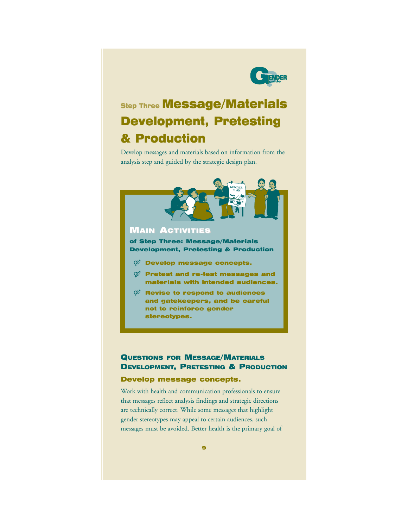

## **Step Three Message/Materials** Development, Pretesting & Production

Develop messages and materials based on information from the analysis step and guided by the strategic design plan.



## **MAIN ACTIVITIES**

of Step Three: Message/Materials Development, Pretesting & Production

- $\mathcal{D}$  Develop message concepts.
- $\boldsymbol{\mathcal{P}}$  Pretest and re-test messages and materials with intended audiences.
- $\mathcal{P}$  Revise to respond to audiences and gatekeepers, and be careful not to reinforce gender stereotypes.

## QUESTIONS FOR MESSAGE/MATERIALS DEVELOPMENT, PRETESTING & PRODUCTION

### Develop message concepts.

Work with health and communication professionals to ensure that messages reflect analysis findings and strategic directions are technically correct. While some messages that highlight gender stereotypes may appeal to certain audiences, such messages must be avoided. Better health is the primary goal of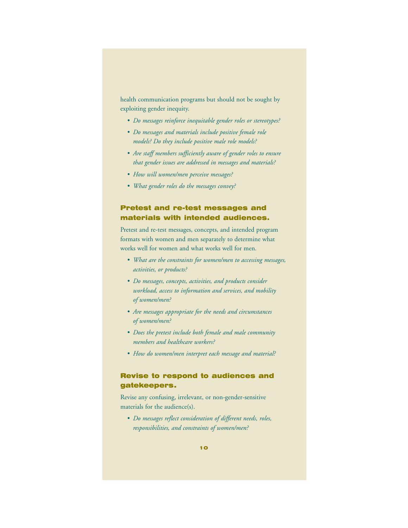health communication programs but should not be sought by exploiting gender inequity.

- *Do messages reinforce inequitable gender roles or stereotypes?*
- *Do messages and materials include positive female role models? Do they include positive male role models?*
- *Are staff members sufficiently aware of gender roles to ensure that gender issues are addressed in messages and materials?*
- *How will women/men perceive messages?*
- *• What gender roles do the messages convey?*

## Pretest and re-test messages and materials with intended audiences.

Pretest and re-test messages, concepts, and intended program formats with women and men separately to determine what works well for women and what works well for men.

- *• What are the constraints for women/men to accessing messages, activities, or products?*
- *Do messages, concepts, activities, and products consider workload, access to information and services, and mobility of women/men?*
- *Are messages appropriate for the needs and circumstances of women/men?*
- *Does the pretest include both female and male community members and healthcare workers?*
- *How do women/men interpret each message and material?*

## Revise to respond to audiences and gatekeepers.

Revise any confusing, irrelevant, or non-gender-sensitive materials for the audience(s).

*• Do messages reflect consideration of different needs, roles, responsibilities, and constraints of women/men?*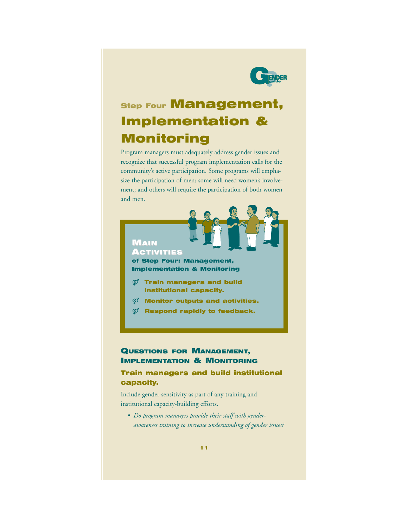

## **Step Four Management,** Implementation & Monitoring

Program managers must adequately address gender issues and recognize that successful program implementation calls for the community's active participation. Some programs will emphasize the participation of men; some will need women's involvement; and others will require the participation of both women and men.



of Step Four: Management, Implementation & Monitoring

- $\boldsymbol{\mathcal{D}}$  Train managers and build institutional capacity.
- $\mathcal{D}$  Monitor outputs and activities.
- $\boldsymbol{\mathcal{D}}$  Respond rapidly to feedback.

## QUESTIONS FOR MANAGEMENT, IMPLEMENTATION & MONITORING

## Train managers and build institutional capacity.

Include gender sensitivity as part of any training and institutional capacity-building efforts.

*• Do program managers provide their staff with genderawareness training to increase understanding of gender issues?*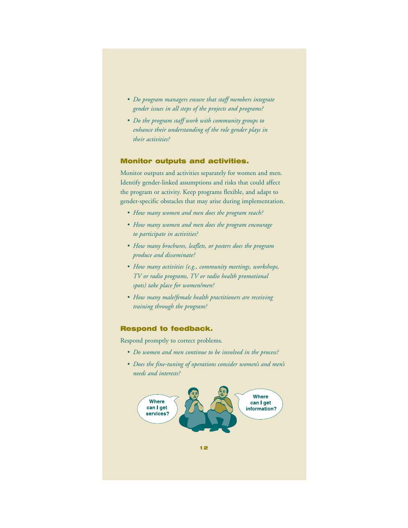- *Do program managers ensure that staff members integrate gender issues in all steps of the projects and programs?*
- *Do the program staff work with community groups to enhance their understanding of the role gender plays in their activities?*

### Monitor outputs and activities.

Monitor outputs and activities separately for women and men. Identify gender-linked assumptions and risks that could affect the program or activity. Keep programs flexible, and adapt to gender-specific obstacles that may arise during implementation.

- *How many women and men does the program reach?*
- *How many women and men does the program encourage to participate in activities?*
- *How many brochures, leaflets, or posters does the program produce and disseminate?*
- *How many activities (e.g., community meetings, workshops, TV or radio programs, TV or radio health promotional spots) take place for women/men?*
- *How many male/female health practitioners are receiving training through the program?*

#### Respond to feedback.

Respond promptly to correct problems.

- *Do women and men continue to be involved in the process?*
- *Does the fine-tuning of operations consider women's and men's needs and interests?*

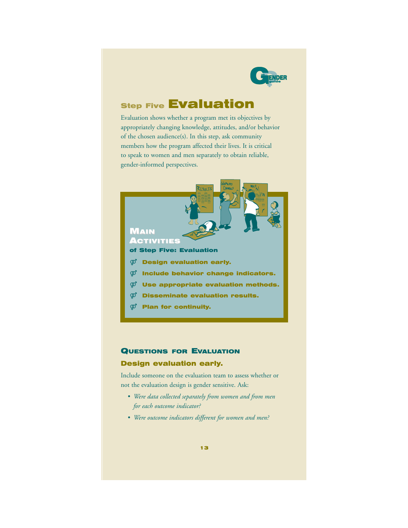

## **Step Five Evaluation**

Evaluation shows whether a program met its objectives by appropriately changing knowledge, attitudes, and/or behavior of the chosen audience(s). In this step, ask community members how the program affected their lives. It is critical to speak to women and men separately to obtain reliable, gender-informed perspectives.



### QUESTIONS FOR EVALUATION

### Design evaluation early.

Include someone on the evaluation team to assess whether or not the evaluation design is gender sensitive. Ask:

- *Were data collected separately from women and from men for each outcome indicator?*
- *Were outcome indicators different for women and men?*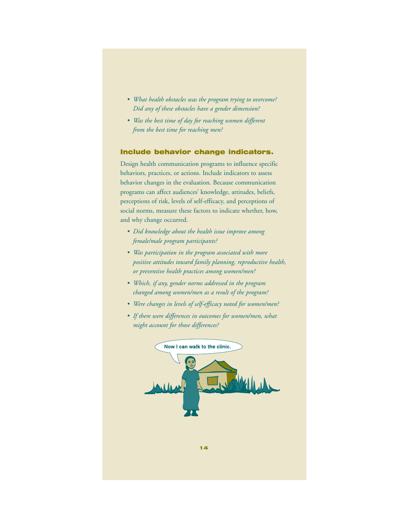- *• What health obstacles was the program trying to overcome? Did any of these obstacles have a gender dimension?*
- *Was the best time of day for reaching women different from the best time for reaching men?*

#### Include behavior change indicators.

Design health communication programs to influence specific behaviors, practices, or actions. Include indicators to assess behavior changes in the evaluation. Because communication programs can affect audiences' knowledge, attitudes, beliefs, perceptions of risk, levels of self-efficacy, and perceptions of social norms, measure these factors to indicate whether, how, and why change occurred.

- *• Did knowledge about the health issue improve among female/male program participants?*
- *Was participation in the program associated with more positive attitudes toward family planning, reproductive health, or preventive health practices among women/men?*
- *• Which, if any, gender norms addressed in the program changed among women/men as a result of the program?*
- *Were changes in levels of self-efficacy noted for women/men?*
- *If there were differences in outcomes for women/men, what might account for those differences?*

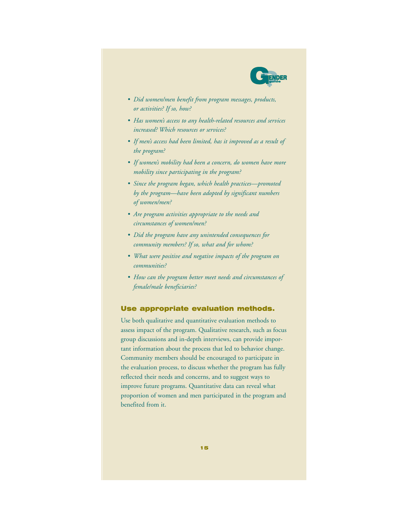

- *• Did women/men benefit from program messages, products, or activities? If so, how?*
- *Has women's access to any health-related resources and services increased? Which resources or services?*
- *If men's access had been limited, has it improved as a result of the program?*
- *If women's mobility had been a concern, do women have more mobility since participating in the program?*
- *Since the program began, which health practices—promoted by the program—have been adopted by significant numbers of women/men?*
- *Are program activities appropriate to the needs and circumstances of women/men?*
- *• Did the program have any unintended consequences for community members? If so, what and for whom?*
- *• What were positive and negative impacts of the program on communities?*
- *How can the program better meet needs and circumstances of female/male beneficiaries?*

#### Use appropriate evaluation methods.

Use both qualitative and quantitative evaluation methods to assess impact of the program. Qualitative research, such as focus group discussions and in-depth interviews, can provide important information about the process that led to behavior change. Community members should be encouraged to participate in the evaluation process, to discuss whether the program has fully reflected their needs and concerns, and to suggest ways to improve future programs. Quantitative data can reveal what proportion of women and men participated in the program and benefited from it.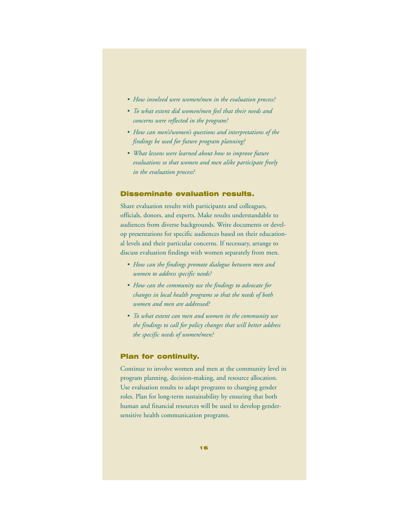- *How involved were women/men in the evaluation process?*
- *To what extent did women/men feel that their needs and concerns were reflected in the program?*
- *How can men's/women's questions and interpretations of the findings be used for future program planning?*
- *• What lessons were learned about how to improve future evaluations so that women and men alike participate freely in the evaluation process?*

#### Disseminate evaluation results.

Share evaluation results with participants and colleagues, officials, donors, and experts. Make results understandable to audiences from diverse backgrounds. Write documents or develop presentations for specific audiences based on their educational levels and their particular concerns. If necessary, arrange to discuss evaluation findings with women separately from men.

- *How can the findings promote dialogue between men and women to address specific needs?*
- *How can the community use the findings to advocate for changes in local health programs so that the needs of both women and men are addressed?*
- *To what extent can men and women in the community use the findings to call for policy changes that will better address the specific needs of women/men?*

#### Plan for continuity.

Continue to involve women and men at the community level in program planning, decision-making, and resource allocation. Use evaluation results to adapt programs to changing gender roles. Plan for long-term sustainability by ensuring that both human and financial resources will be used to develop gendersensitive health communication programs.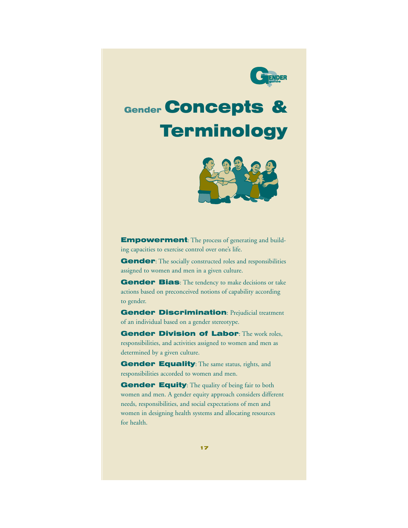

# Gender Concepts & **Terminology**



**Empowerment:** The process of generating and building capacities to exercise control over one's life.

Gender: The socially constructed roles and responsibilities assigned to women and men in a given culture.

Gender Bias: The tendency to make decisions or take actions based on preconceived notions of capability according to gender.

**Gender Discrimination: Prejudicial treatment** of an individual based on a gender stereotype.

Gender Division of Labor: The work roles, responsibilities, and activities assigned to women and men as determined by a given culture.

Gender Equality: The same status, rights, and responsibilities accorded to women and men.

Gender Equity: The quality of being fair to both women and men. A gender equity approach considers different needs, responsibilities, and social expectations of men and women in designing health systems and allocating resources for health.

17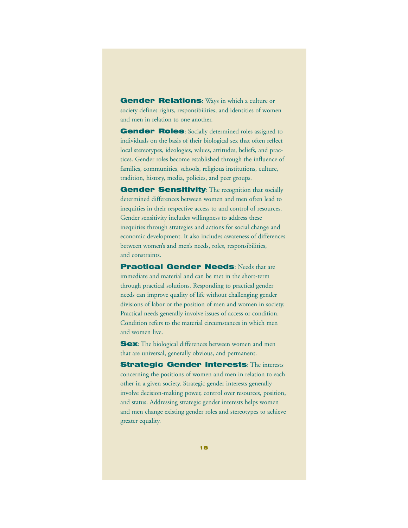**Gender Relations:** Ways in which a culture or society defines rights, responsibilities, and identities of women and men in relation to one another.

Gender Roles: Socially determined roles assigned to individuals on the basis of their biological sex that often reflect local stereotypes, ideologies, values, attitudes, beliefs, and practices. Gender roles become established through the influence of families, communities, schools, religious institutions, culture, tradition, history, media, policies, and peer groups.

Gender Sensitivity: The recognition that socially determined differences between women and men often lead to inequities in their respective access to and control of resources. Gender sensitivity includes willingness to address these inequities through strategies and actions for social change and economic development. It also includes awareness of differences between women's and men's needs, roles, responsibilities, and constraints.

**Practical Gender Needs: Needs that are** immediate and material and can be met in the short-term through practical solutions. Responding to practical gender needs can improve quality of life without challenging gender divisions of labor or the position of men and women in society. Practical needs generally involve issues of access or condition. Condition refers to the material circumstances in which men and women live.

Sex: The biological differences between women and men that are universal, generally obvious, and permanent.

**Strategic Gender Interests: The interests** concerning the positions of women and men in relation to each other in a given society. Strategic gender interests generally involve decision-making power, control over resources, position, and status. Addressing strategic gender interests helps women and men change existing gender roles and stereotypes to achieve greater equality.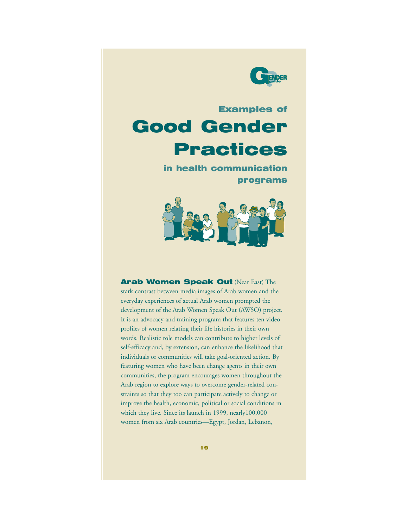

## Examples of Good Gender Practices

in health communication programs



Arab Women Speak Out (Near East) The stark contrast between media images of Arab women and the everyday experiences of actual Arab women prompted the development of the Arab Women Speak Out (AWSO) project. It is an advocacy and training program that features ten video profiles of women relating their life histories in their own words. Realistic role models can contribute to higher levels of self-efficacy and, by extension, can enhance the likelihood that individuals or communities will take goal-oriented action. By featuring women who have been change agents in their own communities, the program encourages women throughout the Arab region to explore ways to overcome gender-related constraints so that they too can participate actively to change or improve the health, economic, political or social conditions in which they live. Since its launch in 1999, nearly100,000 women from six Arab countries—Egypt, Jordan, Lebanon,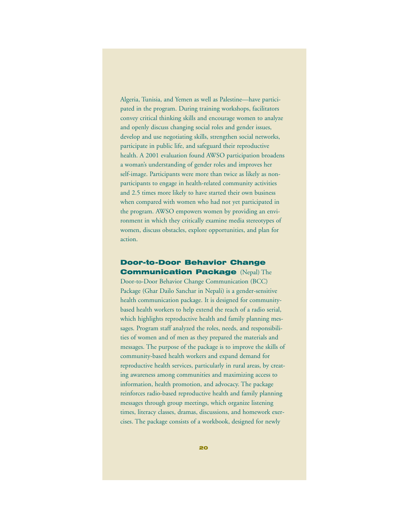Algeria, Tunisia, and Yemen as well as Palestine—have participated in the program. During training workshops, facilitators convey critical thinking skills and encourage women to analyze and openly discuss changing social roles and gender issues, develop and use negotiating skills, strengthen social networks, participate in public life, and safeguard their reproductive health. A 2001 evaluation found AWSO participation broadens a woman's understanding of gender roles and improves her self-image. Participants were more than twice as likely as nonparticipants to engage in health-related community activities and 2.5 times more likely to have started their own business when compared with women who had not yet participated in the program. AWSO empowers women by providing an environment in which they critically examine media stereotypes of women, discuss obstacles, explore opportunities, and plan for action.

### Door-to-Door Behavior Change **Communication Package (Nepal) The**

Door-to-Door Behavior Change Communication (BCC) Package (Ghar Dailo Sanchar in Nepali) is a gender-sensitive health communication package. It is designed for communitybased health workers to help extend the reach of a radio serial, which highlights reproductive health and family planning messages. Program staff analyzed the roles, needs, and responsibilities of women and of men as they prepared the materials and messages. The purpose of the package is to improve the skills of community-based health workers and expand demand for reproductive health services, particularly in rural areas, by creating awareness among communities and maximizing access to information, health promotion, and advocacy. The package reinforces radio-based reproductive health and family planning messages through group meetings, which organize listening times, literacy classes, dramas, discussions, and homework exercises. The package consists of a workbook, designed for newly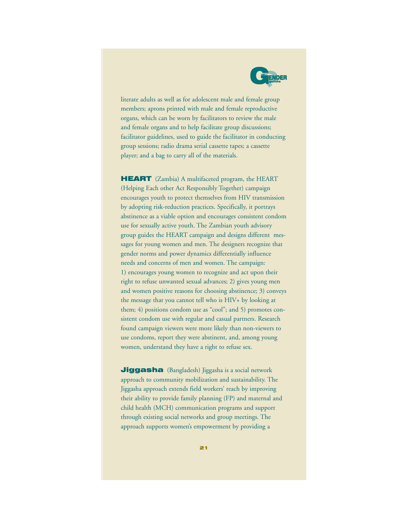

literate adults as well as for adolescent male and female group members; aprons printed with male and female reproductive organs, which can be worn by facilitators to review the male and female organs and to help facilitate group discussions; facilitator guidelines, used to guide the facilitator in conducting group sessions; radio drama serial cassette tapes; a cassette player; and a bag to carry all of the materials.

**HEART** (Zambia) A multifaceted program, the HEART (Helping Each other Act Responsibly Together) campaign encourages youth to protect themselves from HIV transmission by adopting risk-reduction practices. Specifically, it portrays abstinence as a viable option and encourages consistent condom use for sexually active youth. The Zambian youth advisory group guides the HEART campaign and designs different messages for young women and men. The designers recognize that gender norms and power dynamics differentially influence needs and concerns of men and women. The campaign: 1) encourages young women to recognize and act upon their right to refuse unwanted sexual advances; 2) gives young men and women positive reasons for choosing abstinence; 3) conveys the message that you cannot tell who is HIV+ by looking at them; 4) positions condom use as "cool"; and 5) promotes consistent condom use with regular and casual partners. Research found campaign viewers were more likely than non-viewers to use condoms, report they were abstinent, and, among young women, understand they have a right to refuse sex.

**Jiggasha** (Bangladesh) Jiggasha is a social network approach to community mobilization and sustainability. The Jiggasha approach extends field workers' reach by improving their ability to provide family planning (FP) and maternal and child health (MCH) communication programs and support through existing social networks and group meetings. The approach supports women's empowerment by providing a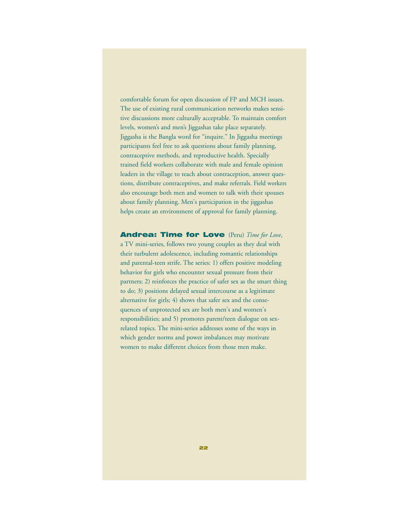comfortable forum for open discussion of FP and MCH issues. The use of existing rural communication networks makes sensitive discussions more culturally acceptable. To maintain comfort levels, women's and men's Jiggashas take place separately. Jiggasha is the Bangla word for "inquire." In Jiggasha meetings participants feel free to ask questions about family planning, contraceptive methods, and reproductive health. Specially trained field workers collaborate with male and female opinion leaders in the village to teach about contraception, answer questions, distribute contraceptives, and make referrals. Field workers also encourage both men and women to talk with their spouses about family planning. Men's participation in the jiggashas helps create an environment of approval for family planning.

Andrea: Time for Love (Peru) *Time for Love*, a TV mini-series, follows two young couples as they deal with their turbulent adolescence, including romantic relationships and parental-teen strife. The series: 1) offers positive modeling behavior for girls who encounter sexual pressure from their partners; 2) reinforces the practice of safer sex as the smart thing to do; 3) positions delayed sexual intercourse as a legitimate alternative for girls; 4) shows that safer sex and the consequences of unprotected sex are both men's and women's responsibilities; and 5) promotes parent/teen dialogue on sexrelated topics. The mini-series addresses some of the ways in which gender norms and power imbalances may motivate women to make different choices from those men make.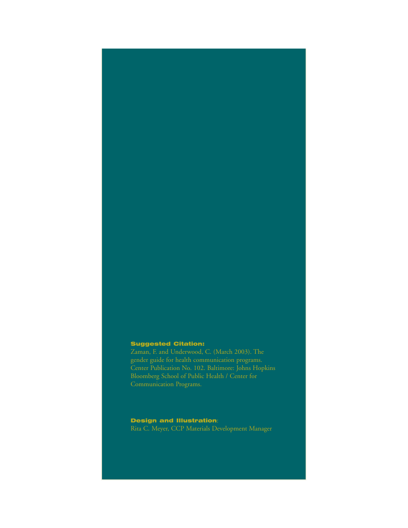#### Suggested Citation:

gender guide for health communication programs.

### Design and Illustration:

Rita C. Meyer, CCP Materials Development Manager